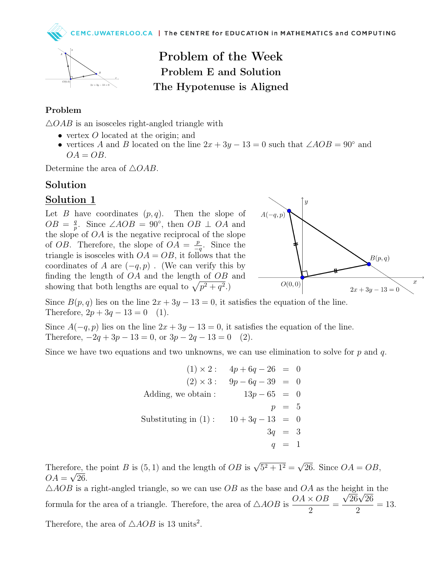

# Problem of the Week Problem E and Solution The Hypotenuse is Aligned

#### Problem

 $\triangle OAB$  is an isosceles right-angled triangle with

- vertex O located at the origin; and
- vertices A and B located on the line  $2x + 3y 13 = 0$  such that  $\angle AOB = 90^\circ$  and  $OA = OB$ .

Determine the area of  $\triangle OAB$ .

### Solution

#### Solution 1

Let B have coordinates  $(p, q)$ . Then the slope of  $OB = \frac{q}{r}$ <sup>q</sup><sub>p</sub>. Since ∠*AOB* = 90<sup>°</sup>, then *OB* ⊥ *OA* and the slope of  $OA$  is the negative reciprocal of the slope of *OB*. Therefore, the slope of  $OA = \frac{p}{p}$  $\frac{p}{-q}$ . Since the triangle is isosceles with  $OA = OB$ , it follows that the coordinates of A are  $(-q, p)$ . (We can verify this by finding the length of  $OA$  and the length of  $OB$  and showing that both lengths are equal to  $\sqrt{p^2 + q^2}$ .



Since  $B(p,q)$  lies on the line  $2x + 3y - 13 = 0$ , it satisfies the equation of the line. Therefore,  $2p + 3q - 13 = 0$  (1).

Since  $A(-q, p)$  lies on the line  $2x + 3y - 13 = 0$ , it satisfies the equation of the line. Therefore,  $-2q + 3p - 13 = 0$ , or  $3p - 2q - 13 = 0$  (2).

Since we have two equations and two unknowns, we can use elimination to solve for  $p$  and  $q$ .

$$
(1) \times 2: \quad 4p + 6q - 26 = 0
$$
  
\n
$$
(2) \times 3: \quad 9p - 6q - 39 = 0
$$
  
\nAdding, we obtain: \quad 13p - 65 = 0  
\n
$$
p = 5
$$
  
\nSubstituting in (1): \quad 10 + 3q - 13 = 0  
\n
$$
3q = 3
$$
  
\n
$$
q = 1
$$

Therefore, the point B is (5, 1) and the length of OB is  $\sqrt{5^2 + 1^2} =$ √ ore, the point B is (5, 1) and the length of  $OB$  is  $\sqrt{5^2 + 1^2} = \sqrt{26}$ . Since  $OA = OB$ ,  $OA = \sqrt{26}.$ 

 $\triangle AOB$  is a right-angled triangle, so we can use  $OB$  as the base and  $OA$  as the height in the formula for the area of a triangle. Therefore, the area of  $\triangle AOB$  is  $OA \times OB$ 2 = ıgnt ın<br>26√26 2  $= 13.$ 

Therefore, the area of  $\triangle AOB$  is 13 units<sup>2</sup>.